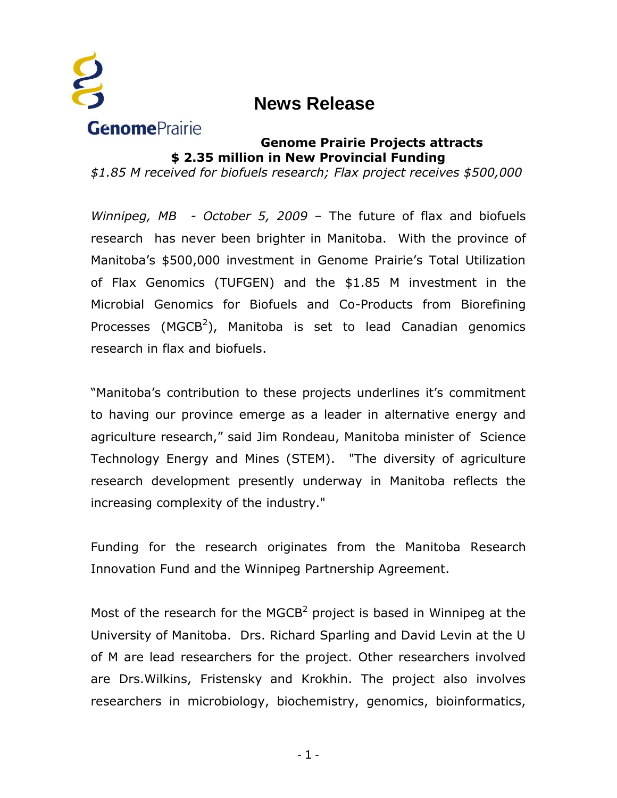

## **News Release**

## **Genome Prairie Projects attracts \$ 2.35 million in New Provincial Funding**

*\$1.85 M received for biofuels research; Flax project receives \$500,000*

*Winnipeg, MB - October 5, 2009* – The future of flax and biofuels research has never been brighter in Manitoba. With the province of Manitoba's \$500,000 investment in Genome Prairie's Total Utilization of Flax Genomics (TUFGEN) and the \$1.85 M investment in the Microbial Genomics for Biofuels and Co-Products from Biorefining Processes (MGCB<sup>2</sup>), Manitoba is set to lead Canadian genomics research in flax and biofuels.

"Manitoba's contribution to these projects underlines it's commitment to having our province emerge as a leader in alternative energy and agriculture research," said Jim Rondeau, Manitoba minister of Science Technology Energy and Mines (STEM). "The diversity of agriculture research development presently underway in Manitoba reflects the increasing complexity of the industry."

Funding for the research originates from the Manitoba Research Innovation Fund and the Winnipeg Partnership Agreement.

Most of the research for the MGCB<sup>2</sup> project is based in Winnipeg at the University of Manitoba. Drs. Richard Sparling and David Levin at the U of M are lead researchers for the project. Other researchers involved are Drs.Wilkins, Fristensky and Krokhin. The project also involves researchers in microbiology, biochemistry, genomics, bioinformatics,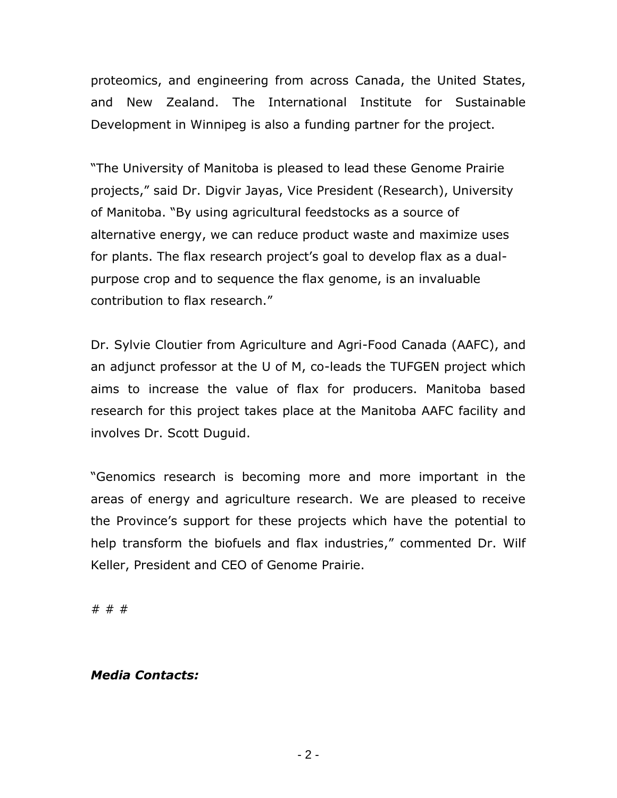proteomics, and engineering from across Canada, the United States, and New Zealand. The International Institute for Sustainable Development in Winnipeg is also a funding partner for the project.

"The University of Manitoba is pleased to lead these Genome Prairie projects," said Dr. Digvir Jayas, Vice President (Research), University of Manitoba. "By using agricultural feedstocks as a source of alternative energy, we can reduce product waste and maximize uses for plants. The flax research project's goal to develop flax as a dualpurpose crop and to sequence the flax genome, is an invaluable contribution to flax research."

Dr. Sylvie Cloutier from Agriculture and Agri-Food Canada (AAFC), and an adjunct professor at the U of M, co-leads the TUFGEN project which aims to increase the value of flax for producers. Manitoba based research for this project takes place at the Manitoba AAFC facility and involves Dr. Scott Duguid.

"Genomics research is becoming more and more important in the areas of energy and agriculture research. We are pleased to receive the Province's support for these projects which have the potential to help transform the biofuels and flax industries," commented Dr. Wilf Keller, President and CEO of Genome Prairie.

# # #

## *Media Contacts:*